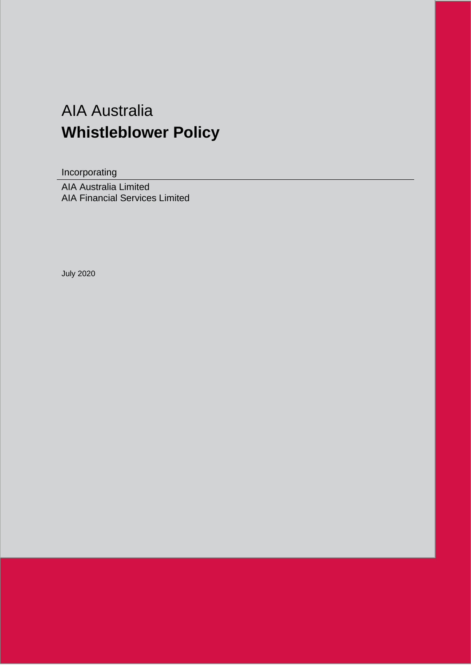# AIA Australia **Whistleblower Policy**

Incorporating

AIA Australia Limited AIA Financial Services Limited

July 2020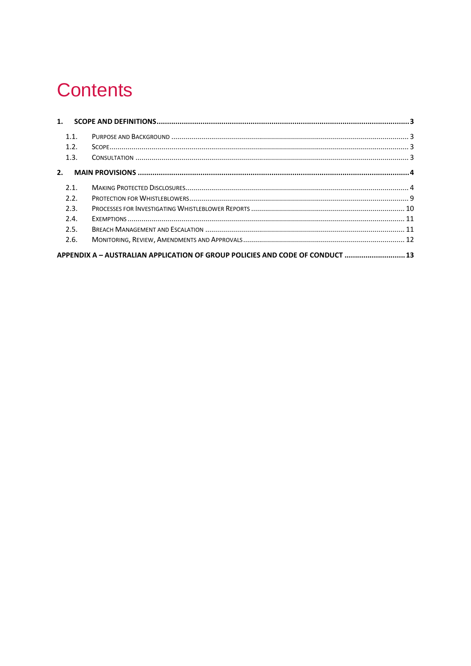# **Contents**

| 1.1. |                                                                               |  |
|------|-------------------------------------------------------------------------------|--|
| 1.2. |                                                                               |  |
| 1.3. |                                                                               |  |
| 2.   |                                                                               |  |
| 2.1. |                                                                               |  |
| 2.2. |                                                                               |  |
| 2.3. |                                                                               |  |
| 2.4. |                                                                               |  |
| 2.5. |                                                                               |  |
| 2.6. |                                                                               |  |
|      | APPENDIX A - AUSTRALIAN APPLICATION OF GROUP POLICIES AND CODE OF CONDUCT  13 |  |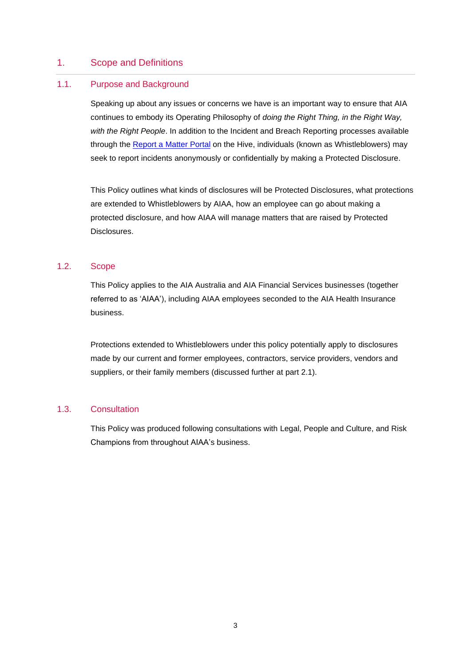# <span id="page-2-0"></span>1. Scope and Definitions

# <span id="page-2-1"></span>1.1. Purpose and Background

Speaking up about any issues or concerns we have is an important way to ensure that AIA continues to embody its Operating Philosophy of *doing the Right Thing, in the Right Way, with the Right People*. In addition to the Incident and Breach Reporting processes available through the Report a [Matter Portal](http://thehiveau.aia.biz/SharedServices/Compliance/Pages/ReportaMatterComplaint.aspx) on the Hive, individuals (known as Whistleblowers) may seek to report incidents anonymously or confidentially by making a Protected Disclosure.

This Policy outlines what kinds of disclosures will be Protected Disclosures, what protections are extended to Whistleblowers by AIAA, how an employee can go about making a protected disclosure, and how AIAA will manage matters that are raised by Protected Disclosures.

#### <span id="page-2-2"></span>1.2. Scope

This Policy applies to the AIA Australia and AIA Financial Services businesses (together referred to as 'AIAA'), including AIAA employees seconded to the AIA Health Insurance business.

Protections extended to Whistleblowers under this policy potentially apply to disclosures made by our current and former employees, contractors, service providers, vendors and suppliers, or their family members (discussed further at part 2.1).

#### <span id="page-2-3"></span>1.3. Consultation

This Policy was produced following consultations with Legal, People and Culture, and Risk Champions from throughout AIAA's business.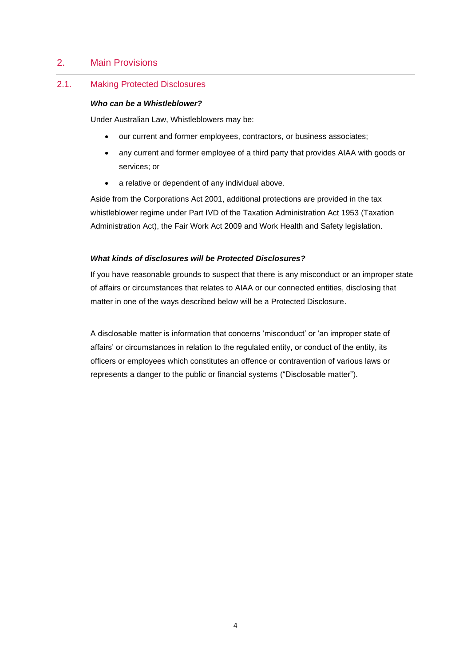# <span id="page-3-0"></span>2. Main Provisions

# <span id="page-3-1"></span>2.1. Making Protected Disclosures

#### *Who can be a Whistleblower?*

Under Australian Law, Whistleblowers may be:

- our current and former employees, contractors, or business associates;
- any current and former employee of a third party that provides AIAA with goods or services; or
- a relative or dependent of any individual above.

Aside from the Corporations Act 2001, additional protections are provided in the tax whistleblower regime under Part IVD of the Taxation Administration Act 1953 (Taxation Administration Act), the Fair Work Act 2009 and Work Health and Safety legislation.

### *What kinds of disclosures will be Protected Disclosures?*

If you have reasonable grounds to suspect that there is any misconduct or an improper state of affairs or circumstances that relates to AIAA or our connected entities, disclosing that matter in one of the ways described below will be a Protected Disclosure.

A disclosable matter is information that concerns 'misconduct' or 'an improper state of affairs' or circumstances in relation to the regulated entity, or conduct of the entity, its officers or employees which constitutes an offence or contravention of various laws or represents a danger to the public or financial systems ("Disclosable matter").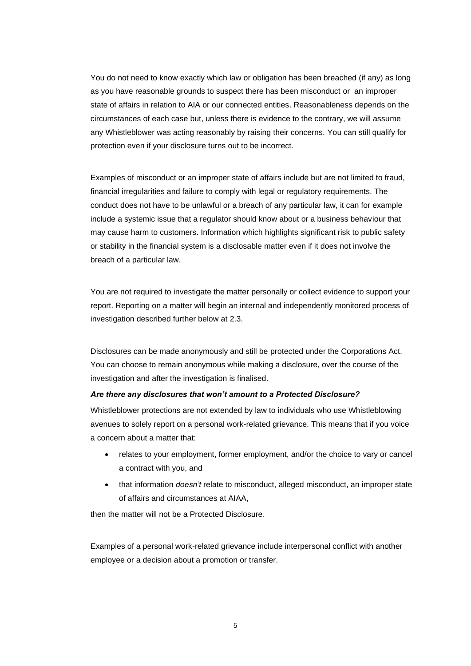You do not need to know exactly which law or obligation has been breached (if any) as long as you have reasonable grounds to suspect there has been misconduct or an improper state of affairs in relation to AIA or our connected entities. Reasonableness depends on the circumstances of each case but, unless there is evidence to the contrary, we will assume any Whistleblower was acting reasonably by raising their concerns. You can still qualify for protection even if your disclosure turns out to be incorrect.

Examples of misconduct or an improper state of affairs include but are not limited to fraud, financial irregularities and failure to comply with legal or regulatory requirements. The conduct does not have to be unlawful or a breach of any particular law, it can for example include a systemic issue that a regulator should know about or a business behaviour that may cause harm to customers. Information which highlights significant risk to public safety or stability in the financial system is a disclosable matter even if it does not involve the breach of a particular law.

You are not required to investigate the matter personally or collect evidence to support your report. Reporting on a matter will begin an internal and independently monitored process of investigation described further below at 2.3.

Disclosures can be made anonymously and still be protected under the Corporations Act. You can choose to remain anonymous while making a disclosure, over the course of the investigation and after the investigation is finalised.

#### *Are there any disclosures that won't amount to a Protected Disclosure?*

Whistleblower protections are not extended by law to individuals who use Whistleblowing avenues to solely report on a personal work-related grievance. This means that if you voice a concern about a matter that:

- relates to your employment, former employment, and/or the choice to vary or cancel a contract with you, and
- that information *doesn't* relate to misconduct, alleged misconduct, an improper state of affairs and circumstances at AIAA,

then the matter will not be a Protected Disclosure.

Examples of a personal work-related grievance include interpersonal conflict with another employee or a decision about a promotion or transfer.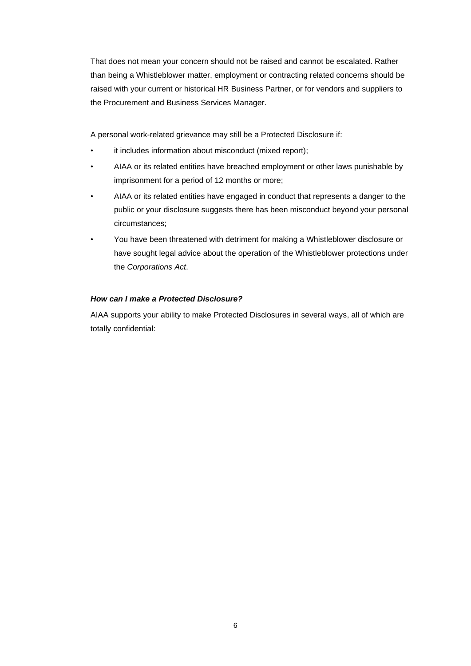That does not mean your concern should not be raised and cannot be escalated. Rather than being a Whistleblower matter, employment or contracting related concerns should be raised with your current or historical HR Business Partner, or for vendors and suppliers to the Procurement and Business Services Manager.

A personal work-related grievance may still be a Protected Disclosure if:

- it includes information about misconduct (mixed report);
- AIAA or its related entities have breached employment or other laws punishable by imprisonment for a period of 12 months or more;
- AIAA or its related entities have engaged in conduct that represents a danger to the public or your disclosure suggests there has been misconduct beyond your personal circumstances;
- You have been threatened with detriment for making a Whistleblower disclosure or have sought legal advice about the operation of the Whistleblower protections under the *Corporations Act*.

# *How can I make a Protected Disclosure?*

AIAA supports your ability to make Protected Disclosures in several ways, all of which are totally confidential: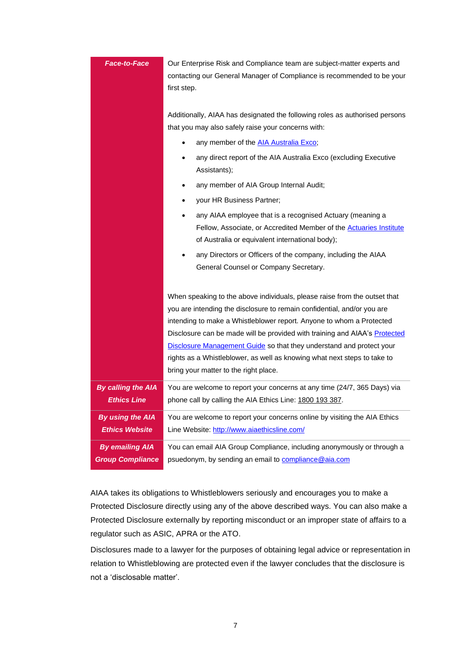| Face-to-Face                                      | Our Enterprise Risk and Compliance team are subject-matter experts and<br>contacting our General Manager of Compliance is recommended to be your<br>first step.                                                                                                                                                                                                                                                                                                                                                |  |
|---------------------------------------------------|----------------------------------------------------------------------------------------------------------------------------------------------------------------------------------------------------------------------------------------------------------------------------------------------------------------------------------------------------------------------------------------------------------------------------------------------------------------------------------------------------------------|--|
|                                                   | Additionally, AIAA has designated the following roles as authorised persons<br>that you may also safely raise your concerns with:<br>any member of the <b>AIA Australia Exco</b> ;<br>$\bullet$<br>any direct report of the AIA Australia Exco (excluding Executive<br>$\bullet$<br>Assistants);<br>any member of AIA Group Internal Audit;<br>$\bullet$<br>your HR Business Partner;<br>$\bullet$                                                                                                             |  |
|                                                   | any AIAA employee that is a recognised Actuary (meaning a<br>Fellow, Associate, or Accredited Member of the <b>Actuaries Institute</b><br>of Australia or equivalent international body);<br>any Directors or Officers of the company, including the AIAA<br>General Counsel or Company Secretary.                                                                                                                                                                                                             |  |
|                                                   | When speaking to the above individuals, please raise from the outset that<br>you are intending the disclosure to remain confidential, and/or you are<br>intending to make a Whistleblower report. Anyone to whom a Protected<br>Disclosure can be made will be provided with training and AIAA's Protected<br><b>Disclosure Management Guide</b> so that they understand and protect your<br>rights as a Whistleblower, as well as knowing what next steps to take to<br>bring your matter to the right place. |  |
| <b>By calling the AIA</b><br><b>Ethics Line</b>   | You are welcome to report your concerns at any time (24/7, 365 Days) via<br>phone call by calling the AIA Ethics Line: 1800 193 387.                                                                                                                                                                                                                                                                                                                                                                           |  |
| <b>By using the AIA</b><br><b>Ethics Website</b>  | You are welcome to report your concerns online by visiting the AIA Ethics<br>Line Website: http://www.aiaethicsline.com/                                                                                                                                                                                                                                                                                                                                                                                       |  |
| <b>By emailing AIA</b><br><b>Group Compliance</b> | You can email AIA Group Compliance, including anonymously or through a<br>psuedonym, by sending an email to <b>compliance@aia.com</b>                                                                                                                                                                                                                                                                                                                                                                          |  |

AIAA takes its obligations to Whistleblowers seriously and encourages you to make a Protected Disclosure directly using any of the above described ways. You can also make a Protected Disclosure externally by reporting misconduct or an improper state of affairs to a regulator such as ASIC, APRA or the ATO.

Disclosures made to a lawyer for the purposes of obtaining legal advice or representation in relation to Whistleblowing are protected even if the lawyer concludes that the disclosure is not a 'disclosable matter'.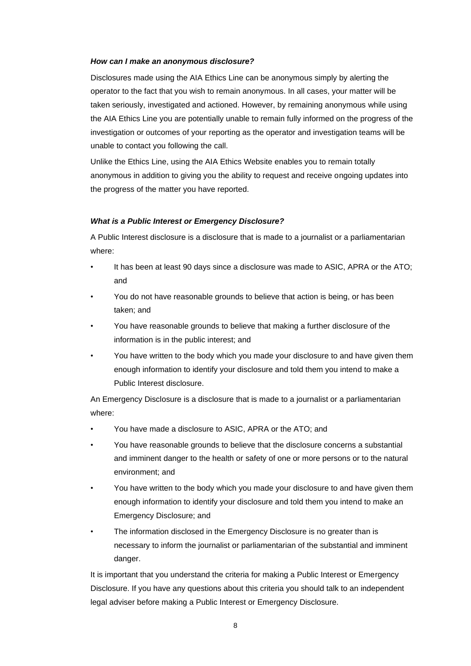#### *How can I make an anonymous disclosure?*

Disclosures made using the AIA Ethics Line can be anonymous simply by alerting the operator to the fact that you wish to remain anonymous. In all cases, your matter will be taken seriously, investigated and actioned. However, by remaining anonymous while using the AIA Ethics Line you are potentially unable to remain fully informed on the progress of the investigation or outcomes of your reporting as the operator and investigation teams will be unable to contact you following the call.

Unlike the Ethics Line, using the AIA Ethics Website enables you to remain totally anonymous in addition to giving you the ability to request and receive ongoing updates into the progress of the matter you have reported.

#### *What is a Public Interest or Emergency Disclosure?*

A Public Interest disclosure is a disclosure that is made to a journalist or a parliamentarian where:

- It has been at least 90 days since a disclosure was made to ASIC, APRA or the ATO; and
- You do not have reasonable grounds to believe that action is being, or has been taken; and
- You have reasonable grounds to believe that making a further disclosure of the information is in the public interest; and
- You have written to the body which you made your disclosure to and have given them enough information to identify your disclosure and told them you intend to make a Public Interest disclosure.

An Emergency Disclosure is a disclosure that is made to a journalist or a parliamentarian where:

- You have made a disclosure to ASIC, APRA or the ATO; and
- You have reasonable grounds to believe that the disclosure concerns a substantial and imminent danger to the health or safety of one or more persons or to the natural environment; and
- You have written to the body which you made your disclosure to and have given them enough information to identify your disclosure and told them you intend to make an Emergency Disclosure; and
- The information disclosed in the Emergency Disclosure is no greater than is necessary to inform the journalist or parliamentarian of the substantial and imminent danger.

It is important that you understand the criteria for making a Public Interest or Emergency Disclosure. If you have any questions about this criteria you should talk to an independent legal adviser before making a Public Interest or Emergency Disclosure.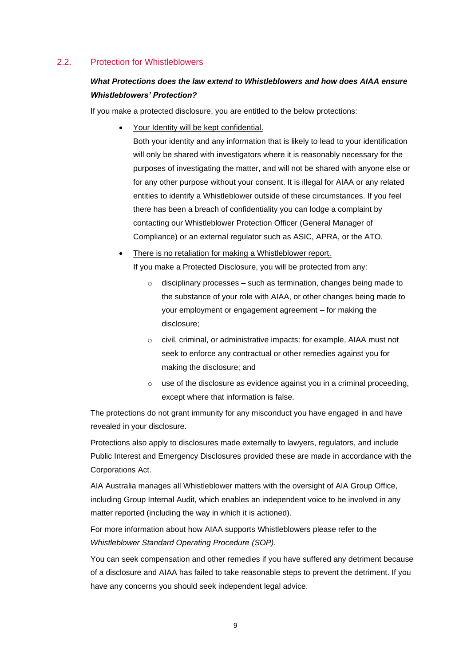# <span id="page-8-0"></span>2.2. Protection for Whistleblowers

# *What Protections does the law extend to Whistleblowers and how does AIAA ensure Whistleblowers' Protection?*

If you make a protected disclosure, you are entitled to the below protections:

• Your Identity will be kept confidential.

Both your identity and any information that is likely to lead to your identification will only be shared with investigators where it is reasonably necessary for the purposes of investigating the matter, and will not be shared with anyone else or for any other purpose without your consent. It is illegal for AIAA or any related entities to identify a Whistleblower outside of these circumstances. If you feel there has been a breach of confidentiality you can lodge a complaint by contacting our Whistleblower Protection Officer (General Manager of Compliance) or an external regulator such as ASIC, APRA, or the ATO.

- There is no retaliation for making a Whistleblower report. If you make a Protected Disclosure, you will be protected from any:
	- $\circ$  disciplinary processes such as termination, changes being made to the substance of your role with AIAA, or other changes being made to your employment or engagement agreement – for making the disclosure;
	- o civil, criminal, or administrative impacts: for example, AIAA must not seek to enforce any contractual or other remedies against you for making the disclosure; and
	- $\circ$  use of the disclosure as evidence against you in a criminal proceeding, except where that information is false.

The protections do not grant immunity for any misconduct you have engaged in and have revealed in your disclosure.

Protections also apply to disclosures made externally to lawyers, regulators, and include Public Interest and Emergency Disclosures provided these are made in accordance with the Corporations Act.

AIA Australia manages all Whistleblower matters with the oversight of AIA Group Office, including Group Internal Audit, which enables an independent voice to be involved in any matter reported (including the way in which it is actioned).

For more information about how AIAA supports Whistleblowers please refer to the *Whistleblower Standard Operating Procedure (SOP)*.

You can seek compensation and other remedies if you have suffered any detriment because of a disclosure and AIAA has failed to take reasonable steps to prevent the detriment. If you have any concerns you should seek independent legal advice.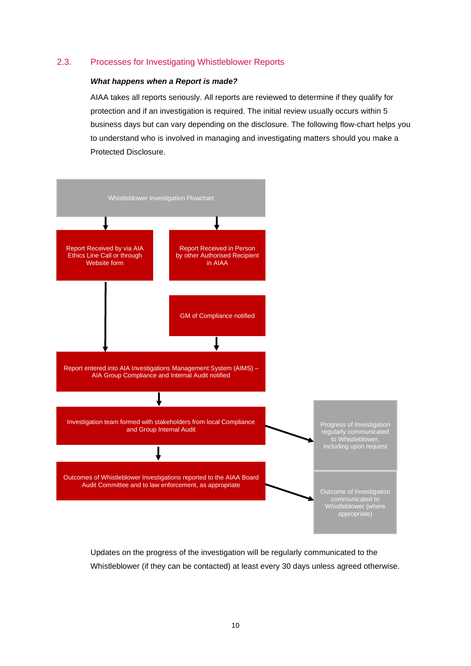#### <span id="page-9-0"></span>2.3. Processes for Investigating Whistleblower Reports

#### *What happens when a Report is made?*

AIAA takes all reports seriously. All reports are reviewed to determine if they qualify for protection and if an investigation is required. The initial review usually occurs within 5 business days but can vary depending on the disclosure. The following flow-chart helps you to understand who is involved in managing and investigating matters should you make a Protected Disclosure.



Updates on the progress of the investigation will be regularly communicated to the Whistleblower (if they can be contacted) at least every 30 days unless agreed otherwise.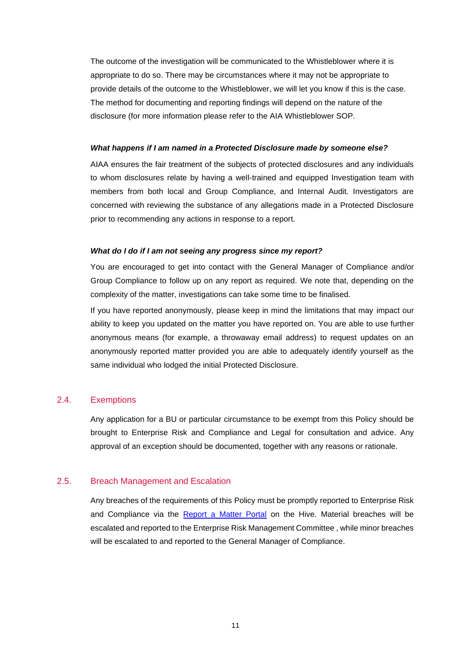The outcome of the investigation will be communicated to the Whistleblower where it is appropriate to do so. There may be circumstances where it may not be appropriate to provide details of the outcome to the Whistleblower, we will let you know if this is the case. The method for documenting and reporting findings will depend on the nature of the disclosure (for more information please refer to the AIA Whistleblower SOP.

#### *What happens if I am named in a Protected Disclosure made by someone else?*

AIAA ensures the fair treatment of the subjects of protected disclosures and any individuals to whom disclosures relate by having a well-trained and equipped Investigation team with members from both local and Group Compliance, and Internal Audit. Investigators are concerned with reviewing the substance of any allegations made in a Protected Disclosure prior to recommending any actions in response to a report.

#### *What do I do if I am not seeing any progress since my report?*

You are encouraged to get into contact with the General Manager of Compliance and/or Group Compliance to follow up on any report as required. We note that, depending on the complexity of the matter, investigations can take some time to be finalised.

If you have reported anonymously, please keep in mind the limitations that may impact our ability to keep you updated on the matter you have reported on. You are able to use further anonymous means (for example, a throwaway email address) to request updates on an anonymously reported matter provided you are able to adequately identify yourself as the same individual who lodged the initial Protected Disclosure.

#### <span id="page-10-0"></span>2.4. Exemptions

Any application for a BU or particular circumstance to be exempt from this Policy should be brought to Enterprise Risk and Compliance and Legal for consultation and advice. Any approval of an exception should be documented, together with any reasons or rationale.

## <span id="page-10-1"></span>2.5. Breach Management and Escalation

Any breaches of the requirements of this Policy must be promptly reported to Enterprise Risk and Compliance via the [Report a Matter Portal](http://thehiveau.aia.biz/SharedServices/Compliance/Pages/ReportaMatterComplaint.aspx) on the Hive. Material breaches will be escalated and reported to the Enterprise Risk Management Committee , while minor breaches will be escalated to and reported to the General Manager of Compliance.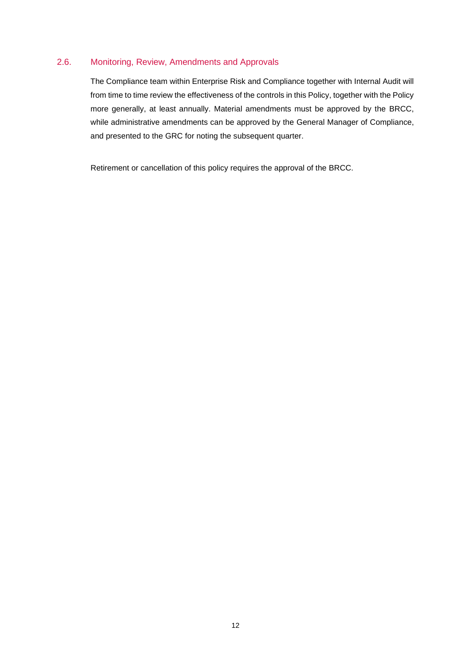# <span id="page-11-0"></span>2.6. Monitoring, Review, Amendments and Approvals

The Compliance team within Enterprise Risk and Compliance together with Internal Audit will from time to time review the effectiveness of the controls in this Policy, together with the Policy more generally, at least annually. Material amendments must be approved by the BRCC, while administrative amendments can be approved by the General Manager of Compliance, and presented to the GRC for noting the subsequent quarter.

Retirement or cancellation of this policy requires the approval of the BRCC.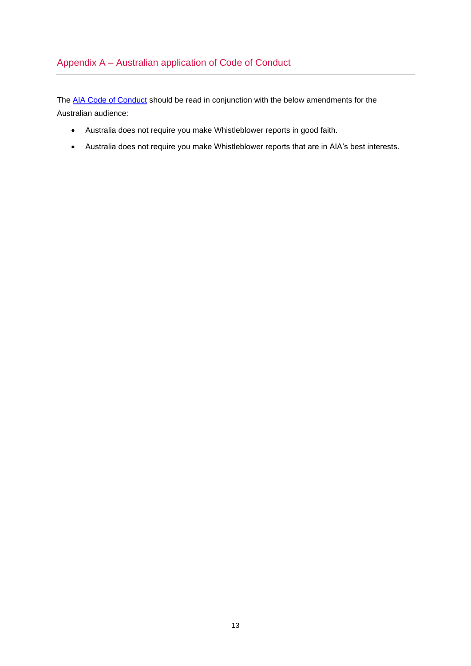# <span id="page-12-0"></span>Appendix A – Australian application of Code of Conduct

The AIA [Code of Conduct](https://aiacom.sharepoint.com/sites/prism/Shared%20Documents/AIA%20Code%20of%20Conduct.pdf) should be read in conjunction with the below amendments for the Australian audience:

- Australia does not require you make Whistleblower reports in good faith.
- Australia does not require you make Whistleblower reports that are in AIA's best interests.